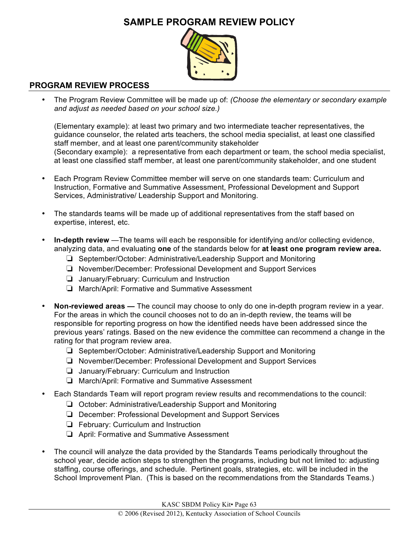# **SAMPLE PROGRAM REVIEW POLICY**



## **PROGRAM REVIEW PROCESS**

• The Program Review Committee will be made up of: *(Choose the elementary or secondary example and adjust as needed based on your school size.)*

(Elementary example): at least two primary and two intermediate teacher representatives, the guidance counselor, the related arts teachers, the school media specialist, at least one classified staff member, and at least one parent/community stakeholder (Secondary example): a representative from each department or team, the school media specialist, at least one classified staff member, at least one parent/community stakeholder, and one student

- Each Program Review Committee member will serve on one standards team: Curriculum and Instruction, Formative and Summative Assessment, Professional Development and Support Services, Administrative/ Leadership Support and Monitoring.
- The standards teams will be made up of additional representatives from the staff based on expertise, interest, etc.
- **In-depth review** —The teams will each be responsible for identifying and/or collecting evidence, analyzing data, and evaluating **one** of the standards below for **at least one program review area.**
	- ❏ September/October: Administrative/Leadership Support and Monitoring
	- ❏ November/December: Professional Development and Support Services
	- ❏ January/February: Curriculum and Instruction
	- ❏ March/April: Formative and Summative Assessment
- **Non-reviewed areas —** The council may choose to only do one in-depth program review in a year. For the areas in which the council chooses not to do an in-depth review, the teams will be responsible for reporting progress on how the identified needs have been addressed since the previous years' ratings. Based on the new evidence the committee can recommend a change in the rating for that program review area.
	- ❏ September/October: Administrative/Leadership Support and Monitoring
	- ❏ November/December: Professional Development and Support Services
	- ❏ January/February: Curriculum and Instruction
	- ❏ March/April: Formative and Summative Assessment
- Each Standards Team will report program review results and recommendations to the council:
	- ❏ October: Administrative/Leadership Support and Monitoring
	- ❏ December: Professional Development and Support Services
	- ❏ February: Curriculum and Instruction
	- ❏ April: Formative and Summative Assessment
- The council will analyze the data provided by the Standards Teams periodically throughout the school year, decide action steps to strengthen the programs, including but not limited to: adjusting staffing, course offerings, and schedule. Pertinent goals, strategies, etc. will be included in the School Improvement Plan. (This is based on the recommendations from the Standards Teams.)

KASC SBDM Policy Kit• Page 63